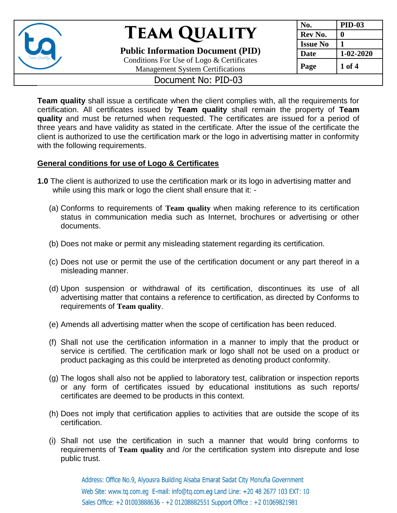

**Public Information Document (PID)** Conditions For Use of Logo & Certificates

Management System Certifications

| No.             | <b>PID-03</b> |
|-----------------|---------------|
| Rev No.         |               |
| <b>Issue No</b> |               |
| <b>Date</b>     | 1-02-2020     |
| Page            | 1 of 4        |

### Document No: PID-03

**Team quality** shall issue a certificate when the client complies with, all the requirements for certification. All certificates issued by **Team quality** shall remain the property of **Team quality** and must be returned when requested. The certificates are issued for a period of three years and have validity as stated in the certificate. After the issue of the certificate the client is authorized to use the certification mark or the logo in advertising matter in conformity with the following requirements.

#### **General conditions for use of Logo & Certificates**

- **1.0** The client is authorized to use the certification mark or its logo in advertising matter and while using this mark or logo the client shall ensure that it: -
	- (a) Conforms to requirements of **Team quality** when making reference to its certification status in communication media such as Internet, brochures or advertising or other documents.
	- (b) Does not make or permit any misleading statement regarding its certification.
	- (c) Does not use or permit the use of the certification document or any part thereof in a misleading manner.
	- (d) Upon suspension or withdrawal of its certification, discontinues its use of all advertising matter that contains a reference to certification, as directed by Conforms to requirements of **Team quality**.
	- (e) Amends all advertising matter when the scope of certification has been reduced.
	- (f) Shall not use the certification information in a manner to imply that the product or service is certified. The certification mark or logo shall not be used on a product or product packaging as this could be interpreted as denoting product conformity.
	- (g) The logos shall also not be applied to laboratory test, calibration or inspection reports or any form of certificates issued by educational institutions as such reports/ certificates are deemed to be products in this context.
	- (h) Does not imply that certification applies to activities that are outside the scope of its certification.
	- (i) Shall not use the certification in such a manner that would bring conforms to requirements of **Team quality** and /or the certification system into disrepute and lose public trust.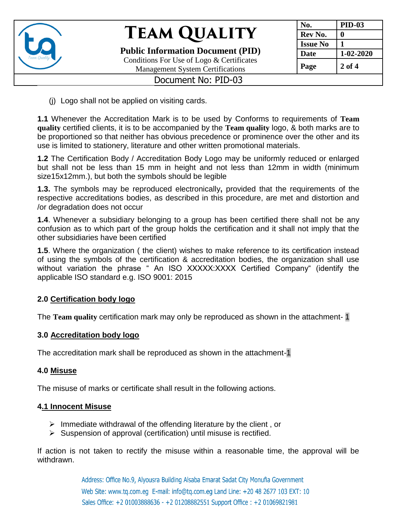

**Public Information Document (PID)** Conditions For Use of Logo & Certificates

**No. PID-03**  $\bf{Rev No.}$  **0 Issue No**  $\vert$  1 **Date 1-02-2020 Page 2 of 4**

### Management System Certifications Document No: PID-03

(j) Logo shall not be applied on visiting cards.

**1.1** Whenever the Accreditation Mark is to be used by Conforms to requirements of **Team quality** certified clients, it is to be accompanied by the **Team quality** logo, & both marks are to be proportioned so that neither has obvious precedence or prominence over the other and its use is limited to stationery, literature and other written promotional materials.

**1.2** The Certification Body / Accreditation Body Logo may be uniformly reduced or enlarged but shall not be less than 15 mm in height and not less than 12mm in width (minimum size15x12mm.), but both the symbols should be legible

**1.3.** The symbols may be reproduced electronically**,** provided that the requirements of the respective accreditations bodies, as described in this procedure, are met and distortion and /or degradation does not occur

**1.4**. Whenever a subsidiary belonging to a group has been certified there shall not be any confusion as to which part of the group holds the certification and it shall not imply that the other subsidiaries have been certified

**1.5**. Where the organization ( the client) wishes to make reference to its certification instead of using the symbols of the certification & accreditation bodies, the organization shall use without variation the phrase " An ISO XXXXX:XXXX Certified Company" (identify the applicable ISO standard e.g. ISO 9001: 2015

### **2.0 Certification body logo**

The **Team quality** certification mark may only be reproduced as shown in the attachment- 1

#### **3.0 Accreditation body logo**

The accreditation mark shall be reproduced as shown in the attachment-1

#### **4.0 Misuse**

The misuse of marks or certificate shall result in the following actions.

#### **4.1 Innocent Misuse**

- $\triangleright$  Immediate withdrawal of the offending literature by the client, or
- $\triangleright$  Suspension of approval (certification) until misuse is rectified.

If action is not taken to rectify the misuse within a reasonable time, the approval will be withdrawn.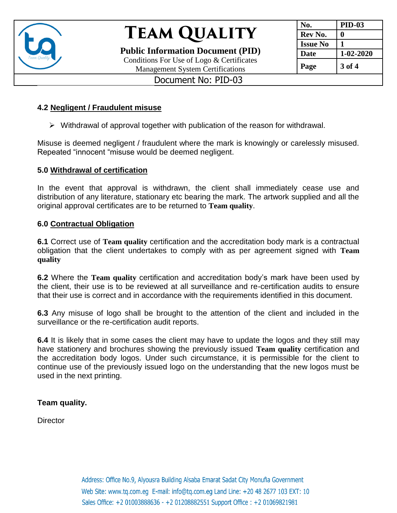

**Public Information Document (PID)** Conditions For Use of Logo & Certificates Management System Certifications

| No.             | <b>PID-03</b> |
|-----------------|---------------|
| Rev No.         | U             |
| <b>Issue No</b> | 1             |
| <b>Date</b>     | 1-02-2020     |
| Page            | 3 of 4        |

### Document No: PID-03

#### **4.2 Negligent / Fraudulent misuse**

 $\triangleright$  Withdrawal of approval together with publication of the reason for withdrawal.

Misuse is deemed negligent / fraudulent where the mark is knowingly or carelessly misused. Repeated "innocent "misuse would be deemed negligent.

#### **5.0 Withdrawal of certification**

In the event that approval is withdrawn, the client shall immediately cease use and distribution of any literature, stationary etc bearing the mark. The artwork supplied and all the original approval certificates are to be returned to **Team quality**.

#### **6.0 Contractual Obligation**

**6.1** Correct use of **Team quality** certification and the accreditation body mark is a contractual obligation that the client undertakes to comply with as per agreement signed with **Team quality**

**6.2** Where the **Team quality** certification and accreditation body's mark have been used by the client, their use is to be reviewed at all surveillance and re-certification audits to ensure that their use is correct and in accordance with the requirements identified in this document.

**6.3** Any misuse of logo shall be brought to the attention of the client and included in the surveillance or the re-certification audit reports.

**6.4** It is likely that in some cases the client may have to update the logos and they still may have stationery and brochures showing the previously issued **Team quality** certification and the accreditation body logos. Under such circumstance, it is permissible for the client to continue use of the previously issued logo on the understanding that the new logos must be used in the next printing.

#### **Team quality.**

**Director**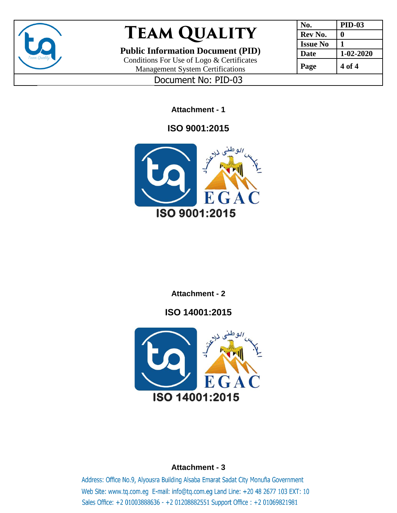

**Public Information Document (PID)**

Conditions For Use of Logo & Certificates Management System Certifications

| No.             | <b>PID-03</b> |
|-----------------|---------------|
| Rev No.         | 0             |
| <b>Issue No</b> |               |
| <b>Date</b>     | 1-02-2020     |
| Page            | 4 of 4        |

Document No: PID-03

**Attachment - 1**

## **ISO 9001:2015**



### **Attachment - 2**

**ISO 14001:2015**



### **Attachment - 3**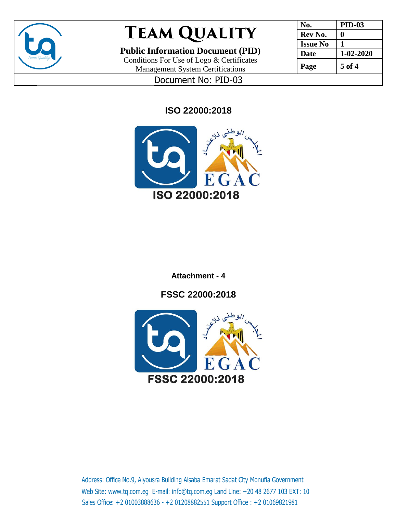

**Public Information Document (PID)**

Conditions For Use of Logo & Certificates Management System Certifications

| No.             | <b>PID-03</b>   |
|-----------------|-----------------|
| Rev No.         |                 |
| <b>Issue No</b> |                 |
| <b>Date</b>     | $1 - 02 - 2020$ |
| Page            | 5 of 4          |

Document No: PID-03

**ISO 22000:2018**



**Attachment - 4**